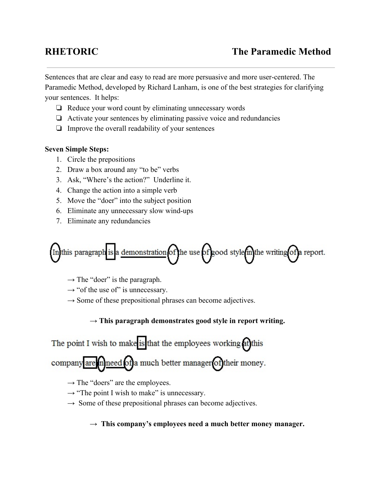Sentences that are clear and easy to read are more persuasive and more user-centered. The Paramedic Method, developed by Richard Lanham, is one of the best strategies for clarifying your sentences. It helps:

- ❏ Reduce your word count by eliminating unnecessary words
- ❏ Activate your sentences by eliminating passive voice and redundancies
- ❏ Improve the overall readability of your sentences

## **Seven Simple Steps:**

- 1. Circle the prepositions
- 2. Draw a box around any "to be" verbs
- 3. Ask, "Where's the action?" Underline it.
- 4. Change the action into a simple verb
- 5. Move the "doer" into the subject position
- 6. Eliminate any unnecessary slow wind-ups
- 7. Eliminate any redundancies



- $\rightarrow$  The "doer" is the paragraph.
- $\rightarrow$  "of the use of" is unnecessary.
- → Some of these prepositional phrases can become adjectives.

# **→ This paragraph demonstrates good style in report writing.**

# The point I wish to make is that the employees working at this

company are mneed of a much better manager of their money.

- → The "doers" are the employees.
- → "The point I wish to make" is unnecessary.
- $\rightarrow$  Some of these prepositional phrases can become adjectives.

**→This company's employees need a much better money manager.**